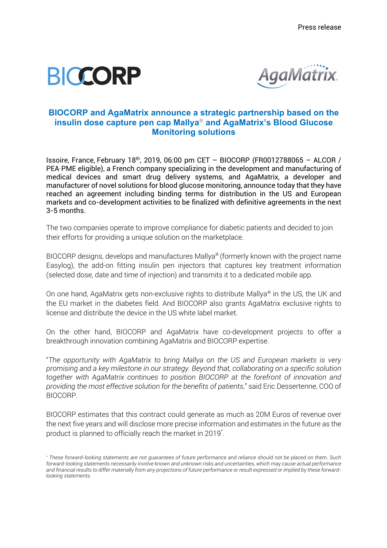



## **BIOCORP and AgaMatrix announce a strategic partnership based on the insulin dose capture pen cap Mallya**<sup>Ò</sup> **and AgaMatrix's Blood Glucose Monitoring solutions**

Issoire, France, February 18th , 2019, 06:00 pm CET – BIOCORP (FR0012788065 – ALCOR / PEA‐PME eligible), a French company specializing in the development and manufacturing of medical devices and smart drug delivery systems, and AgaMatrix, a developer and manufacturer of novel solutions for blood glucose monitoring, announce today that they have reached an agreement including binding terms for distribution in the US and European markets and co-development activities to be finalized with definitive agreements in the next 3-5 months.

The two companies operate to improve compliance for diabetic patients and decided to join their efforts for providing a unique solution on the marketplace.

BIOCORP designs, develops and manufactures Mallya® (formerly known with the project name Easylog), the add-on fitting insulin pen injectors that captures key treatment information (selected dose, date and time of injection) and transmits it to a dedicated mobile app.

On one hand, AgaMatrix gets non-exclusive rights to distribute Mallya<sup>®</sup> in the US, the UK and the EU market in the diabetes field. And BIOCORP also grants AgaMatrix exclusive rights to license and distribute the device in the US white label market.

On the other hand, BIOCORP and AgaMatrix have co-development projects to offer a breakthrough innovation combining AgaMatrix and BIOCORP expertise.

"*The opportunity with AgaMatrix to bring Mallya on the US and European markets is very promising and a key milestone in our strategy. Beyond that, collaborating on a specific solution together with AgaMatrix continues to position BIOCORP at the forefront of innovation and providing the most effective solution for the benefits of patients*," said Eric Dessertenne, COO of BIOCORP.

BIOCORP estimates that this contract could generate as much as 20M Euros of revenue over the next five years and will disclose more precise information and estimates in the future as the product is planned to officially reach the market in 2019\* .

*<sup>\*</sup> These forward-looking statements are not guarantees of future performance and reliance should not be placed on them. Such forward-looking statements necessarily involve known and unknown risks and uncertainties, which may cause actual performance and financial results to differ materially from any projections of future performance or result expressed or implied by these forwardlooking statements.*